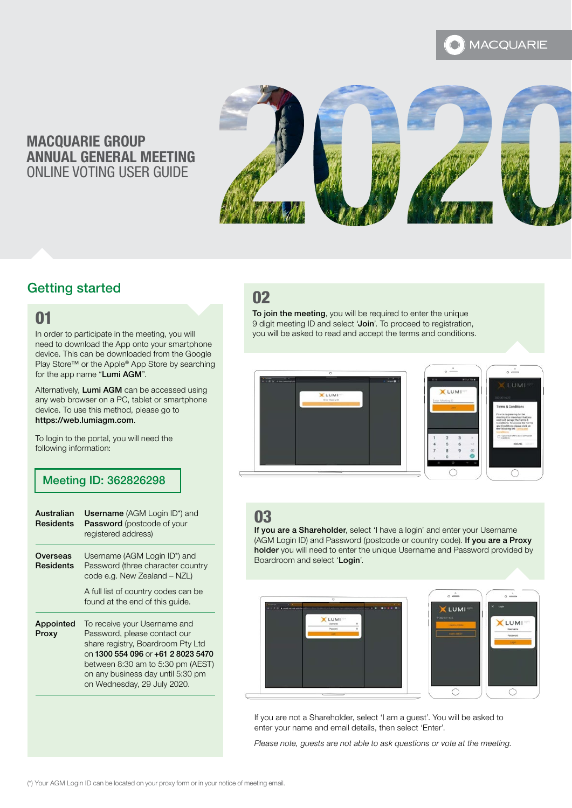#### **MACQUARIE**

# MACQUARIE GROUP ANNUAL GENERAL MEETING ONLINE VOTING USER GUIDE



# Getting started

#### 01

In order to participate in the meeting, you will need to download the App onto your smartphone device. This can be downloaded from the Google Play Store™ or the Apple® App Store by searching for the app name "Lumi AGM".

Alternatively, Lumi AGM can be accessed using any web browser on a PC, tablet or smartphone device. To use this method, please go to https://web.lumiagm.com.

To login to the portal, you will need the following information:

#### Meeting ID: 362826298

| Australian<br>Residents | <b>Username</b> (AGM Login ID*) and<br>Password (postcode of your<br>registered address)                                                                                                                                                         |
|-------------------------|--------------------------------------------------------------------------------------------------------------------------------------------------------------------------------------------------------------------------------------------------|
| Overseas<br>Residents   | Username (AGM Login ID*) and<br>Password (three character country<br>code e.g. New Zealand - NZL)                                                                                                                                                |
|                         | A full list of country codes can be<br>found at the end of this guide.                                                                                                                                                                           |
| Appointed<br>Proxy      | To receive your Username and<br>Password, please contact our<br>share registry, Boardroom Pty Ltd<br>on 1300 554 096 or +61 2 8023 5470<br>between 8:30 am to 5:30 pm (AEST)<br>on any business day until 5:30 pm<br>on Wednesday, 29 July 2020. |

# 02

To join the meeting, you will be required to enter the unique 9 digit meeting ID and select 'Join'. To proceed to registration, you will be asked to read and accept the terms and conditions.





# 03

If you are a Shareholder, select 'I have a login' and enter your Username (AGM Login ID) and Password (postcode or country code). If you are a Proxy holder you will need to enter the unique Username and Password provided by Boardroom and select 'Login'.





If you are not a Shareholder, select 'I am a guest'. You will be asked to enter your name and email details, then select 'Enter'.

*Please note, guests are not able to ask questions or vote at the meeting.*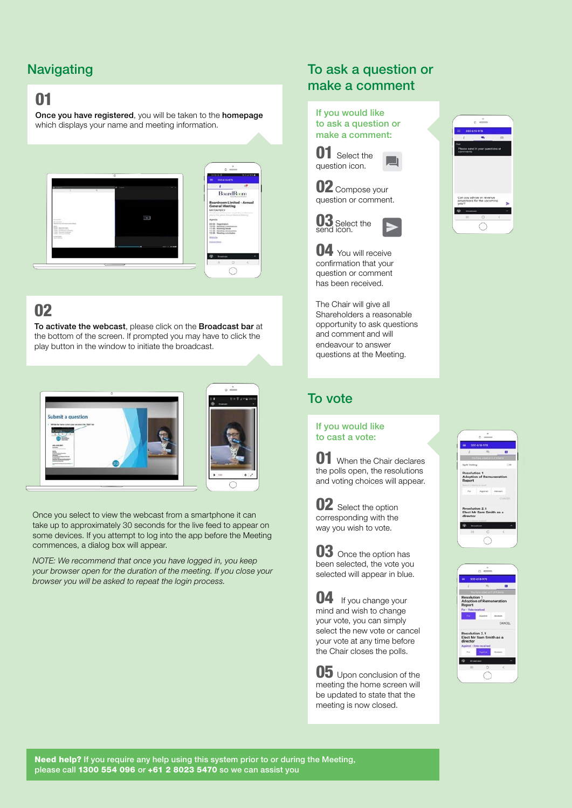# **Navigating**

# 01

Once you have registered, you will be taken to the homepage which displays your name and meeting information.



# 02

To activate the webcast, please click on the Broadcast bar at the bottom of the screen. If prompted you may have to click the play button in the window to initiate the broadcast.





Once you select to view the webcast from a smartphone it can take up to approximately 30 seconds for the live feed to appear on some devices. If you attempt to log into the app before the Meeting commences, a dialog box will appear.

*NOTE: We recommend that once you have logged in, you keep your browser open for the duration of the meeting. If you close your browser you will be asked to repeat the login process.*

#### To ask a question or make a comment

#### If you would like to ask a question or make a comment:

**01** Select the question icon.

02 Compose your question or comment.





04 You will receive confirmation that your question or comment has been received.

The Chair will give all Shareholders a reasonable opportunity to ask questions and comment and will endeavour to answer questions at the Meeting.

## To vote

If you would like to cast a vote:

**01** When the Chair declares the polls open, the resolutions and voting choices will appear.



corresponding with the way you wish to vote.



**04** If you change your mind and wish to change your vote, you can simply select the new vote or cancel your vote at any time before the Chair closes the polls.

**05** Upon conclusion of the meeting the home screen will be updated to state that the meeting is now closed.